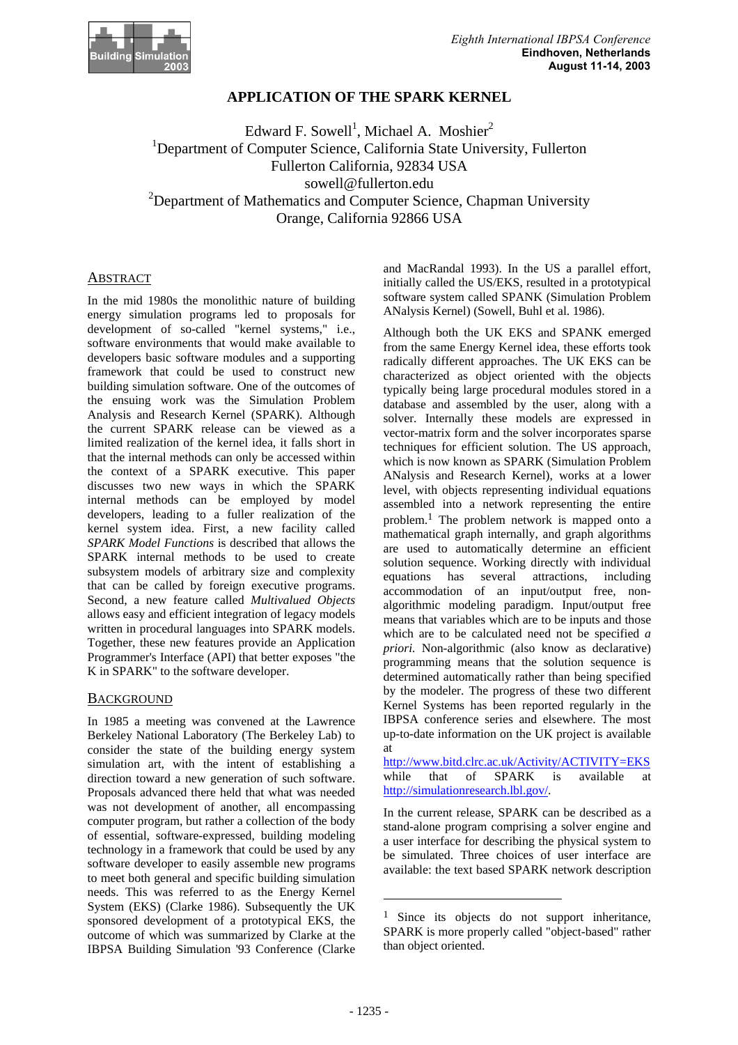

## **APPLICATION OF THE SPARK KERNEL**

Edward F. Sowell<sup>1</sup>, Michael A. Moshier<sup>2</sup> <sup>1</sup>Department of Computer Science, California State University, Fullerton Fullerton California, 92834 USA sowell@fullerton.edu  $2$ Department of Mathematics and Computer Science, Chapman University Orange, California 92866 USA

#### ABSTRACT

In the mid 1980s the monolithic nature of building energy simulation programs led to proposals for development of so-called "kernel systems," i.e., software environments that would make available to developers basic software modules and a supporting framework that could be used to construct new building simulation software. One of the outcomes of the ensuing work was the Simulation Problem Analysis and Research Kernel (SPARK). Although the current SPARK release can be viewed as a limited realization of the kernel idea, it falls short in that the internal methods can only be accessed within the context of a SPARK executive. This paper discusses two new ways in which the SPARK internal methods can be employed by model developers, leading to a fuller realization of the kernel system idea. First, a new facility called *SPARK Model Functions* is described that allows the SPARK internal methods to be used to create subsystem models of arbitrary size and complexity that can be called by foreign executive programs. Second, a new feature called *Multivalued Objects* allows easy and efficient integration of legacy models written in procedural languages into SPARK models. Together, these new features provide an Application Programmer's Interface (API) that better exposes "the K in SPARK" to the software developer.

#### **BACKGROUND**

In 1985 a meeting was convened at the Lawrence Berkeley National Laboratory (The Berkeley Lab) to consider the state of the building energy system simulation art, with the intent of establishing a direction toward a new generation of such software. Proposals advanced there held that what was needed was not development of another, all encompassing computer program, but rather a collection of the body of essential, software-expressed, building modeling technology in a framework that could be used by any software developer to easily assemble new programs to meet both general and specific building simulation needs. This was referred to as the Energy Kernel System (EKS) (Clarke 1986). Subsequently the UK sponsored development of a prototypical EKS, the outcome of which was summarized by Clarke at the IBPSA Building Simulation '93 Conference (Clarke

and MacRandal 1993). In the US a parallel effort, initially called the US/EKS, resulted in a prototypical software system called SPANK (Simulation Problem ANalysis Kernel) (Sowell, Buhl et al. 1986).

Although both the UK EKS and SPANK emerged from the same Energy Kernel idea, these efforts took radically different approaches. The UK EKS can be characterized as object oriented with the objects typically being large procedural modules stored in a database and assembled by the user, along with a solver. Internally these models are expressed in vector-matrix form and the solver incorporates sparse techniques for efficient solution. The US approach, which is now known as SPARK (Simulation Problem ANalysis and Research Kernel), works at a lower level, with objects representing individual equations assembled into a network representing the entire problem. 1 The problem network is mapped onto a mathematical graph internally, and graph algorithms are used to automatically determine an efficient solution sequence. Working directly with individual equations has several attractions, including accommodation of an input/output free, nonalgorithmic modeling paradigm. Input/output free means that variables which are to be inputs and those which are to be calculated need not be specified *a priori.* Non-algorithmic (also know as declarative) programming means that the solution sequence is determined automatically rather than being specified by the modeler. The progress of these two different Kernel Systems has been reported regularly in the IBPSA conference series and elsewhere. The most up-to-date information on the UK project is available at

http://www.bitd.clrc.ac.uk/Activity/ACTIVITY=EKS while that of SPARK is available http://simulationresearch.lbl.gov/.

In the current release, SPARK can be described as a stand-alone program comprising a solver engine and a user interface for describing the physical system to be simulated. Three choices of user interface are available: the text based SPARK network description

l

<sup>&</sup>lt;sup>1</sup> Since its objects do not support inheritance, SPARK is more properly called "object-based" rather than object oriented.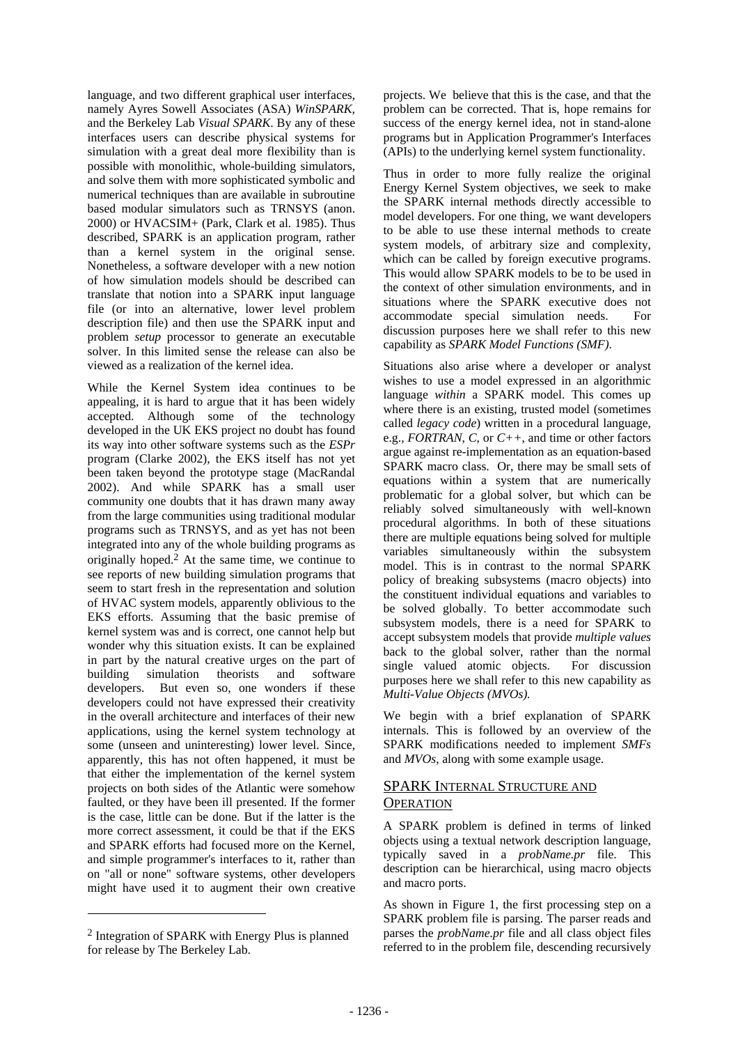language, and two different graphical user interfaces, namely Ayres Sowell Associates (ASA) *WinSPARK,*  and the Berkeley Lab *Visual SPARK*. By any of these interfaces users can describe physical systems for simulation with a great deal more flexibility than is possible with monolithic, whole-building simulators, and solve them with more sophisticated symbolic and numerical techniques than are available in subroutine based modular simulators such as TRNSYS (anon. 2000) or HVACSIM+ (Park, Clark et al. 1985). Thus described, SPARK is an application program, rather than a kernel system in the original sense. Nonetheless, a software developer with a new notion of how simulation models should be described can translate that notion into a SPARK input language file (or into an alternative, lower level problem description file) and then use the SPARK input and problem *setup* processor to generate an executable solver. In this limited sense the release can also be viewed as a realization of the kernel idea.

While the Kernel System idea continues to be appealing, it is hard to argue that it has been widely accepted. Although some of the technology developed in the UK EKS project no doubt has found its way into other software systems such as the *ESPr* program (Clarke 2002), the EKS itself has not yet been taken beyond the prototype stage (MacRandal 2002). And while SPARK has a small user community one doubts that it has drawn many away from the large communities using traditional modular programs such as TRNSYS, and as yet has not been integrated into any of the whole building programs as originally hoped. 2 At the same time, we continue to see reports of new building simulation programs that seem to start fresh in the representation and solution of HVAC system models, apparently oblivious to the EKS efforts. Assuming that the basic premise of kernel system was and is correct, one cannot help but wonder why this situation exists. It can be explained in part by the natural creative urges on the part of building simulation theorists and software developers. But even so, one wonders if these developers could not have expressed their creativity in the overall architecture and interfaces of their new applications, using the kernel system technology at some (unseen and uninteresting) lower level. Since, apparently, this has not often happened, it must be that either the implementation of the kernel system projects on both sides of the Atlantic were somehow faulted, or they have been ill presented. If the former is the case, little can be done. But if the latter is the more correct assessment, it could be that if the EKS and SPARK efforts had focused more on the Kernel, and simple programmer's interfaces to it, rather than on "all or none" software systems, other developers might have used it to augment their own creative

2 Integration of SPARK with Energy Plus is planned for release by The Berkeley Lab.

 $\overline{a}$ 

projects. We believe that this is the case, and that the problem can be corrected. That is, hope remains for success of the energy kernel idea, not in stand-alone programs but in Application Programmer's Interfaces (APIs) to the underlying kernel system functionality.

Thus in order to more fully realize the original Energy Kernel System objectives, we seek to make the SPARK internal methods directly accessible to model developers. For one thing, we want developers to be able to use these internal methods to create system models, of arbitrary size and complexity, which can be called by foreign executive programs. This would allow SPARK models to be to be used in the context of other simulation environments, and in situations where the SPARK executive does not accommodate special simulation needs. For discussion purposes here we shall refer to this new capability as *SPARK Model Functions (SMF)*.

Situations also arise where a developer or analyst wishes to use a model expressed in an algorithmic language *within* a SPARK model. This comes up where there is an existing, trusted model (sometimes called *legacy code*) written in a procedural language, e.g., *FORTRAN*, *C*, or *C++*, and time or other factors argue against re-implementation as an equation-based SPARK macro class. Or, there may be small sets of equations within a system that are numerically problematic for a global solver, but which can be reliably solved simultaneously with well-known procedural algorithms. In both of these situations there are multiple equations being solved for multiple variables simultaneously within the subsystem model. This is in contrast to the normal SPARK policy of breaking subsystems (macro objects) into the constituent individual equations and variables to be solved globally. To better accommodate such subsystem models, there is a need for SPARK to accept subsystem models that provide *multiple values* back to the global solver, rather than the normal single valued atomic objects. For discussion purposes here we shall refer to this new capability as *Multi-Value Objects (MVOs).*

We begin with a brief explanation of SPARK internals. This is followed by an overview of the SPARK modifications needed to implement *SMFs* and *MVOs*, along with some example usage.

## SPARK INTERNAL STRUCTURE AND **OPERATION**

A SPARK problem is defined in terms of linked objects using a textual network description language, typically saved in a *probName.pr* file. This description can be hierarchical, using macro objects and macro ports.

As shown in Figure 1, the first processing step on a SPARK problem file is parsing. The parser reads and parses the *probName.pr* file and all class object files referred to in the problem file, descending recursively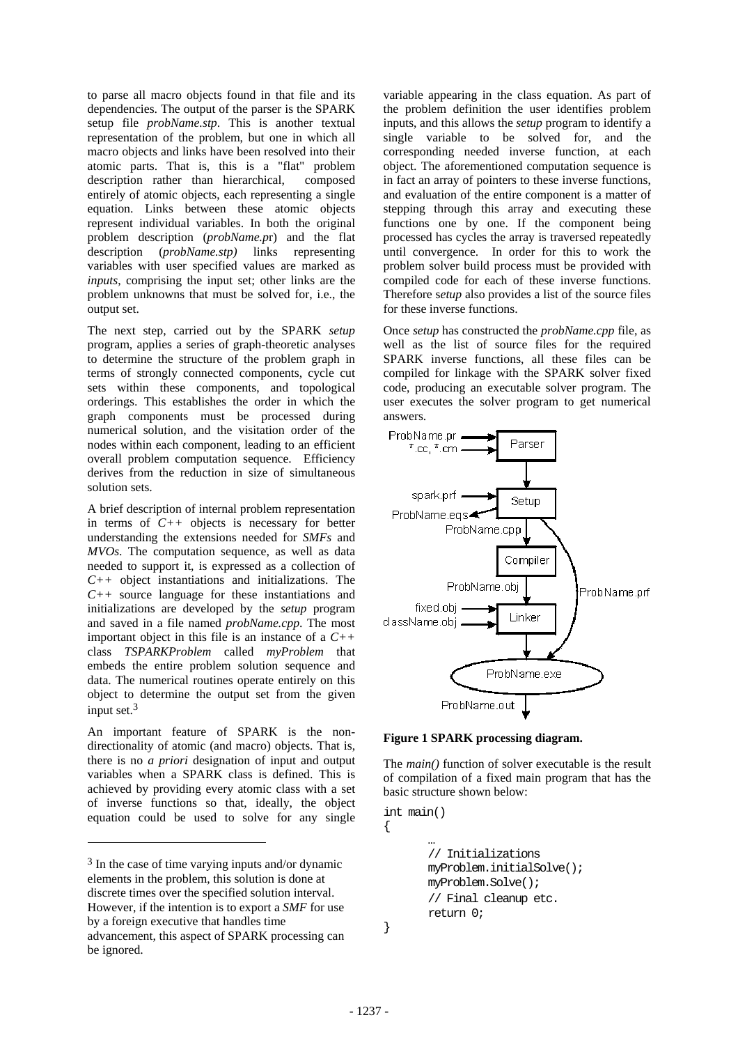to parse all macro objects found in that file and its dependencies. The output of the parser is the SPARK setup file *probName.stp*. This is another textual representation of the problem, but one in which all macro objects and links have been resolved into their atomic parts. That is, this is a "flat" problem description rather than hierarchical, composed entirely of atomic objects, each representing a single equation. Links between these atomic objects represent individual variables. In both the original problem description (*probName.p*r) and the flat description (*probName.stp)* links representing variables with user specified values are marked as *inputs*, comprising the input set; other links are the problem unknowns that must be solved for, i.e., the output set.

The next step, carried out by the SPARK *setup* program, applies a series of graph-theoretic analyses to determine the structure of the problem graph in terms of strongly connected components, cycle cut sets within these components, and topological orderings. This establishes the order in which the graph components must be processed during numerical solution, and the visitation order of the nodes within each component, leading to an efficient overall problem computation sequence. Efficiency derives from the reduction in size of simultaneous solution sets.

A brief description of internal problem representation in terms of *C++* objects is necessary for better understanding the extensions needed for *SMFs* and *MVOs*. The computation sequence, as well as data needed to support it, is expressed as a collection of *C++* object instantiations and initializations. The *C++* source language for these instantiations and initializations are developed by the *setup* program and saved in a file named *probName.cpp*. The most important object in this file is an instance of a *C++* class *TSPARKProblem* called *myProblem* that embeds the entire problem solution sequence and data. The numerical routines operate entirely on this object to determine the output set from the given input set.3

An important feature of SPARK is the nondirectionality of atomic (and macro) objects. That is, there is no *a priori* designation of input and output variables when a SPARK class is defined. This is achieved by providing every atomic class with a set of inverse functions so that, ideally, the object equation could be used to solve for any single

 $\overline{a}$ 

variable appearing in the class equation. As part of the problem definition the user identifies problem inputs, and this allows the *setup* program to identify a single variable to be solved for, and the corresponding needed inverse function, at each object. The aforementioned computation sequence is in fact an array of pointers to these inverse functions, and evaluation of the entire component is a matter of stepping through this array and executing these functions one by one. If the component being processed has cycles the array is traversed repeatedly until convergence. In order for this to work the problem solver build process must be provided with compiled code for each of these inverse functions. Therefore s*etup* also provides a list of the source files for these inverse functions.

Once *setup* has constructed the *probName.cpp* file, as well as the list of source files for the required SPARK inverse functions, all these files can be compiled for linkage with the SPARK solver fixed code, producing an executable solver program. The user executes the solver program to get numerical answers.



**Figure 1 SPARK processing diagram.** 

The *main()* function of solver executable is the result of compilation of a fixed main program that has the basic structure shown below:

```
int main() 
{ 
 … 
        // Initializations 
        myProblem.initialSolve(); 
        myProblem.Solve(); 
       // Final cleanup etc. 
        return 0;
```
}

<sup>3</sup> In the case of time varying inputs and/or dynamic elements in the problem, this solution is done at discrete times over the specified solution interval. However, if the intention is to export a *SMF* for use by a foreign executive that handles time advancement, this aspect of SPARK processing can be ignored.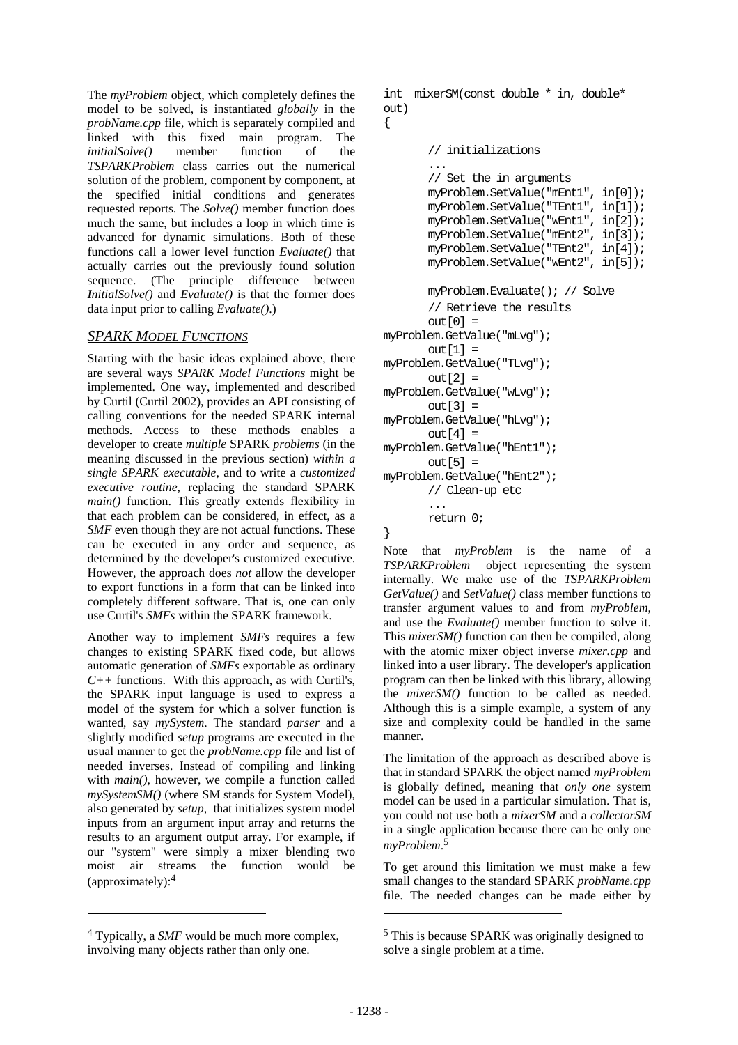The *myProblem* object, which completely defines the model to be solved, is instantiated *globally* in the *probName.cpp* file, which is separately compiled and linked with this fixed main program. The *initialSolve()* member function of the *TSPARKProblem* class carries out the numerical solution of the problem, component by component, at the specified initial conditions and generates requested reports. The *Solve()* member function does much the same, but includes a loop in which time is advanced for dynamic simulations. Both of these functions call a lower level function *Evaluate()* that actually carries out the previously found solution sequence. (The principle difference between *InitialSolve()* and *Evaluate()* is that the former does data input prior to calling *Evaluate()*.)

## *SPARK MODEL FUNCTIONS*

Starting with the basic ideas explained above, there are several ways *SPARK Model Functions* might be implemented. One way, implemented and described by Curtil (Curtil 2002), provides an API consisting of calling conventions for the needed SPARK internal methods. Access to these methods enables a developer to create *multiple* SPARK *problems* (in the meaning discussed in the previous section) *within a single SPARK executable*, and to write a *customized executive routine*, replacing the standard SPARK *main()* function. This greatly extends flexibility in that each problem can be considered, in effect, as a *SMF* even though they are not actual functions. These can be executed in any order and sequence, as determined by the developer's customized executive. However, the approach does *not* allow the developer to export functions in a form that can be linked into completely different software. That is, one can only use Curtil's *SMFs* within the SPARK framework.

Another way to implement *SMFs* requires a few changes to existing SPARK fixed code, but allows automatic generation of *SMFs* exportable as ordinary *C++* functions. With this approach, as with Curtil's, the SPARK input language is used to express a model of the system for which a solver function is wanted, say *mySystem*. The standard *parser* and a slightly modified *setup* programs are executed in the usual manner to get the *probName.cpp* file and list of needed inverses. Instead of compiling and linking with *main()*, however, we compile a function called *mySystemSM()* (where SM stands for System Model), also generated by *setup*, that initializes system model inputs from an argument input array and returns the results to an argument output array. For example, if our "system" were simply a mixer blending two moist air streams the function would be (approximately):4

 $\overline{a}$ 

```
int mixerSM(const double * in, double* 
out)
```

```
{
```

```
 // initializations 
 ... 
       // Set the in arguments
       myProblem.SetValue("mEnt1", in[0]); 
       myProblem.SetValue("TEnt1", in[1]); 
       myProblem.SetValue("wEnt1", in[2]); 
       myProblem.SetValue("mEnt2", in[3]); 
       myProblem.SetValue("TEnt2", in[4]); 
       myProblem.SetValue("wEnt2", in[5]); 
        myProblem.Evaluate(); // Solve 
       // Retrieve the results
       out[0] =myProblem.GetValue("mLvg"); 
       out[1] =myProblem.GetValue("TLvg"); 
       out[2] =myProblem.GetValue("wLvg"); 
       out[3] =myProblem.GetValue("hLvg"); 
       out[4] =myProblem.GetValue("hEnt1"); 
       out[5] =myProblem.GetValue("hEnt2"); 
        // Clean-up etc 
        ... 
        return 0;
```
}

Note that *myProblem* is the name of a *TSPARKProblem* object representing the system internally. We make use of the *TSPARKProblem GetValue()* and *SetValue()* class member functions to transfer argument values to and from *myProblem*, and use the *Evaluate()* member function to solve it. This *mixerSM()* function can then be compiled, along with the atomic mixer object inverse *mixer.cpp* and linked into a user library. The developer's application program can then be linked with this library, allowing the *mixerSM()* function to be called as needed. Although this is a simple example, a system of any size and complexity could be handled in the same manner.

The limitation of the approach as described above is that in standard SPARK the object named *myProblem* is globally defined, meaning that *only one* system model can be used in a particular simulation. That is, you could not use both a *mixerSM* and a *collectorSM* in a single application because there can be only one *myProblem*. 5

To get around this limitation we must make a few small changes to the standard SPARK *probName.cpp* file. The needed changes can be made either by

<sup>4</sup> Typically, a *SMF* would be much more complex, involving many objects rather than only one.

<sup>5</sup> This is because SPARK was originally designed to solve a single problem at a time.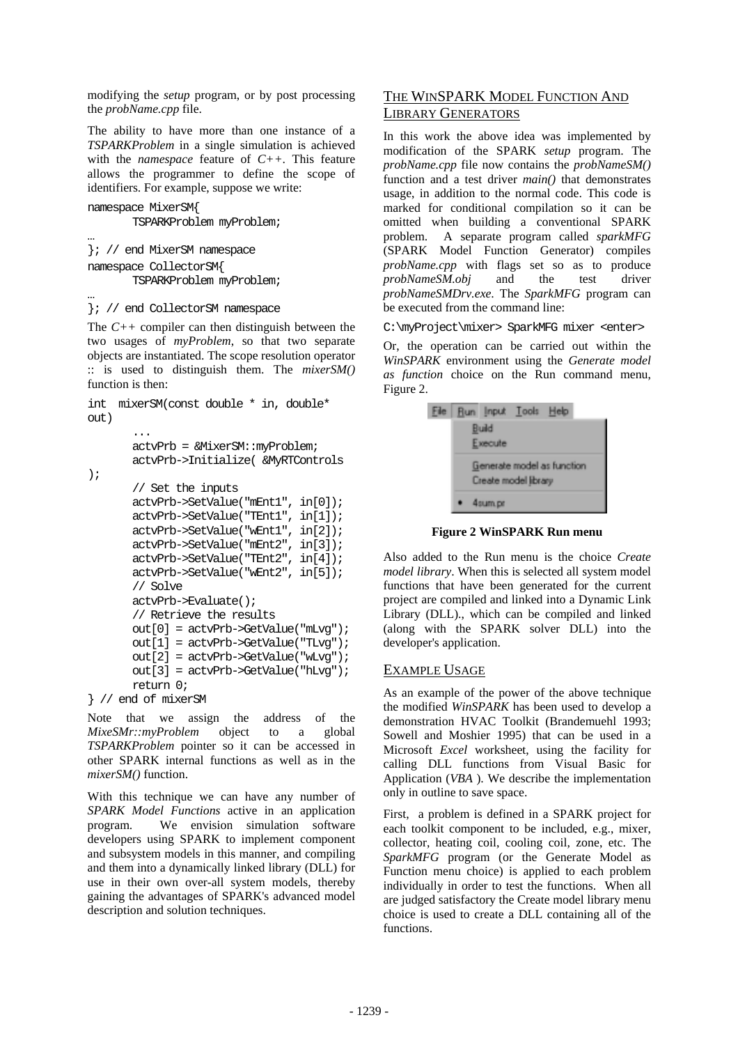modifying the *setup* program, or by post processing the *probName.cpp* file.

The ability to have more than one instance of a *TSPARKProblem* in a single simulation is achieved with the *namespace* feature of *C++*. This feature allows the programmer to define the scope of identifiers. For example, suppose we write:

```
namespace MixerSM{ 
        TSPARKProblem myProblem;
… 
}; // end MixerSM namespace 
namespace CollectorSM{ 
        TSPARKProblem myProblem;
```
… }; // end CollectorSM namespace

The *C++* compiler can then distinguish between the two usages of *myProblem*, so that two separate objects are instantiated. The scope resolution operator :: is used to distinguish them. The *mixerSM()* function is then:

```
int mixerSM(const double * in, double* 
out) 
         ... 
        actvPrb = &MixerSM::myProblem; 
        actvPrb->Initialize( &MyRTControls
); 
       // Set the inputs 
        actvPrb->SetValue("mEnt1", in[0]); 
        actvPrb->SetValue("TEnt1", in[1]); 
        actvPrb->SetValue("wEnt1", in[2]); 
        actvPrb->SetValue("mEnt2", in[3]); 
        actvPrb->SetValue("TEnt2", in[4]);
        actvPrb->SetValue("wEnt2", in[5]);
       // Solve 
        actvPrb->Evaluate(); 
       // Retrieve the results
        out[0] = actvPrb->GetValue("mLvg");
       out[1] = actvPrb->GetValue("TLvg"); 
       out[2] = actvPrb->GetValue("wLvg"); 
       out[3] = actvPrb->GetValue("hLvg"); 
        return 0; 
} // end of mixerSM
```
Note that we assign the address of the *MixeSMr::myProblem* object to a global *TSPARKProblem* pointer so it can be accessed in other SPARK internal functions as well as in the *mixerSM()* function.

With this technique we can have any number of *SPARK Model Functions* active in an application program. We envision simulation software developers using SPARK to implement component and subsystem models in this manner, and compiling and them into a dynamically linked library (DLL) for use in their own over-all system models, thereby gaining the advantages of SPARK's advanced model description and solution techniques.

# THE WINSPARK MODEL FUNCTION AND LIBRARY GENERATORS

In this work the above idea was implemented by modification of the SPARK *setup* program. The *probName.cpp* file now contains the *probNameSM()* function and a test driver *main()* that demonstrates usage, in addition to the normal code. This code is marked for conditional compilation so it can be omitted when building a conventional SPARK problem. A separate program called *sparkMFG*  (SPARK Model Function Generator) compiles *probName.cpp* with flags set so as to produce *probNameSM.obj* and the test driver *probNameSMDrv.exe*. The *SparkMFG* program can be executed from the command line:

C:\myProject\mixer> SparkMFG mixer <enter>

Or, the operation can be carried out within the *WinSPARK* environment using the *Generate model as function* choice on the Run command menu, Figure 2.



**Figure 2 WinSPARK Run menu** 

Also added to the Run menu is the choice *Create model library*. When this is selected all system model functions that have been generated for the current project are compiled and linked into a Dynamic Link Library (DLL)., which can be compiled and linked (along with the SPARK solver DLL) into the developer's application.

## EXAMPLE USAGE

As an example of the power of the above technique the modified *WinSPARK* has been used to develop a demonstration HVAC Toolkit (Brandemuehl 1993; Sowell and Moshier 1995) that can be used in a Microsoft *Excel* worksheet, using the facility for calling DLL functions from Visual Basic for Application (*VBA* ). We describe the implementation only in outline to save space.

First, a problem is defined in a SPARK project for each toolkit component to be included, e.g., mixer, collector, heating coil, cooling coil, zone, etc. The *SparkMFG* program (or the Generate Model as Function menu choice) is applied to each problem individually in order to test the functions. When all are judged satisfactory the Create model library menu choice is used to create a DLL containing all of the functions.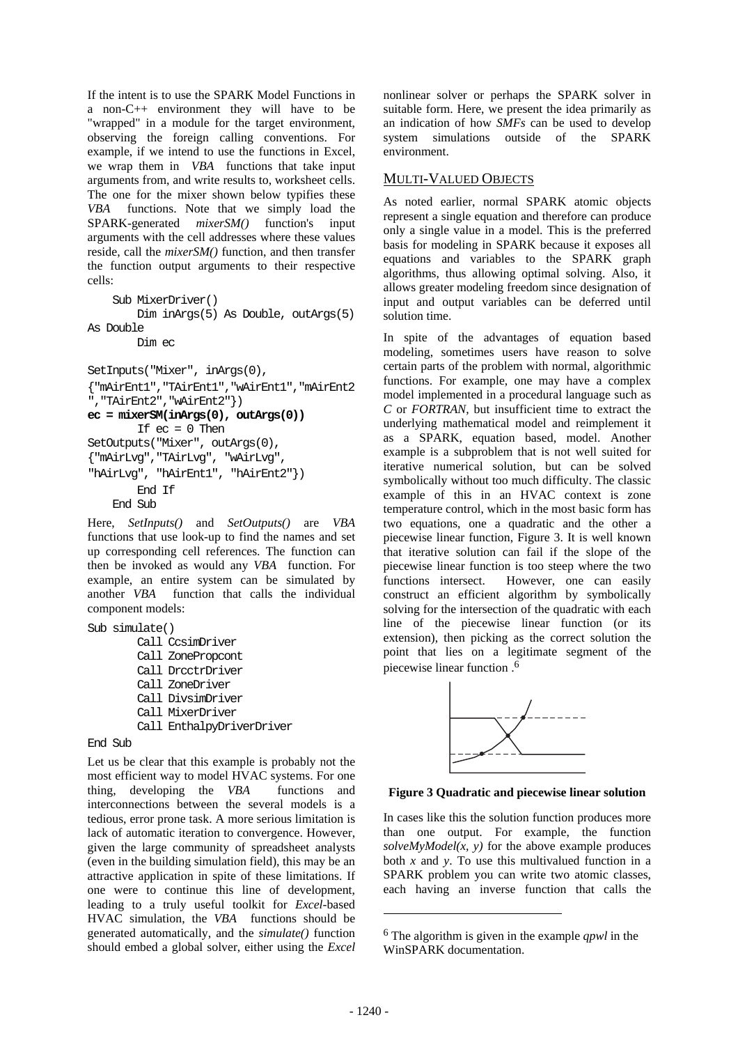If the intent is to use the SPARK Model Functions in a non-C++ environment they will have to be "wrapped" in a module for the target environment, observing the foreign calling conventions. For example, if we intend to use the functions in Excel, we wrap them in *VBA* functions that take input arguments from, and write results to, worksheet cells. The one for the mixer shown below typifies these *VBA* functions. Note that we simply load the SPARK-generated *mixerSM()* function's input arguments with the cell addresses where these values reside, call the *mixerSM()* function, and then transfer the function output arguments to their respective cells:

```
 Sub MixerDriver() 
         Dim inArgs(5) As Double, outArgs(5)
As Double 
         Dim ec 
SetInputs("Mixer", inArgs(0), 
{"mAirEnt1","TAirEnt1","wAirEnt1","mAirEnt2
","TAirEnt2","wAirEnt2"}) 
ec = mixerSM(inArgs(0), outArgs(0))
        If ec = 0 Then
SetOutputs("Mixer", outArgs(0),
{"mAirLvg","TAirLvg", "wAirLvg", 
"hAirLvg", "hAirEnt1", "hAirEnt2"}) 
         End If 
     End Sub
```
Here, *SetInputs()* and *SetOutputs()* are *VBA* functions that use look-up to find the names and set up corresponding cell references. The function can then be invoked as would any *VBA* function. For example, an entire system can be simulated by another *VBA* function that calls the individual component models:

```
Sub simulate() 
         Call CcsimDriver
         Call ZonePropcont 
         Call DrcctrDriver 
         Call ZoneDriver
         Call DivsimDriver 
         Call MixerDriver
         Call EnthalpyDriverDriver
```
End Sub

Let us be clear that this example is probably not the most efficient way to model HVAC systems. For one thing, developing the *VBA* functions and interconnections between the several models is a tedious, error prone task. A more serious limitation is lack of automatic iteration to convergence. However, given the large community of spreadsheet analysts (even in the building simulation field), this may be an attractive application in spite of these limitations. If one were to continue this line of development, leading to a truly useful toolkit for *Excel*-based HVAC simulation, the *VBA* functions should be generated automatically, and the *simulate()* function should embed a global solver, either using the *Excel*

nonlinear solver or perhaps the SPARK solver in suitable form. Here, we present the idea primarily as an indication of how *SMFs* can be used to develop system simulations outside of the SPARK environment.

## MULTI-VALUED OBJECTS

As noted earlier, normal SPARK atomic objects represent a single equation and therefore can produce only a single value in a model. This is the preferred basis for modeling in SPARK because it exposes all equations and variables to the SPARK graph algorithms, thus allowing optimal solving. Also, it allows greater modeling freedom since designation of input and output variables can be deferred until solution time.

In spite of the advantages of equation based modeling, sometimes users have reason to solve certain parts of the problem with normal, algorithmic functions. For example, one may have a complex model implemented in a procedural language such as *C* or *FORTRAN*, but insufficient time to extract the underlying mathematical model and reimplement it as a SPARK, equation based, model. Another example is a subproblem that is not well suited for iterative numerical solution, but can be solved symbolically without too much difficulty. The classic example of this in an HVAC context is zone temperature control, which in the most basic form has two equations, one a quadratic and the other a piecewise linear function, Figure 3. It is well known that iterative solution can fail if the slope of the piecewise linear function is too steep where the two functions intersect. However, one can easily construct an efficient algorithm by symbolically solving for the intersection of the quadratic with each line of the piecewise linear function (or its extension), then picking as the correct solution the point that lies on a legitimate segment of the piecewise linear function .6



## **Figure 3 Quadratic and piecewise linear solution**

In cases like this the solution function produces more than one output. For example, the function  $solveMvModel(x, y)$  for the above example produces both *x* and *y*. To use this multivalued function in a SPARK problem you can write two atomic classes, each having an inverse function that calls the

l

<sup>6</sup> The algorithm is given in the example *qpwl* in the WinSPARK documentation.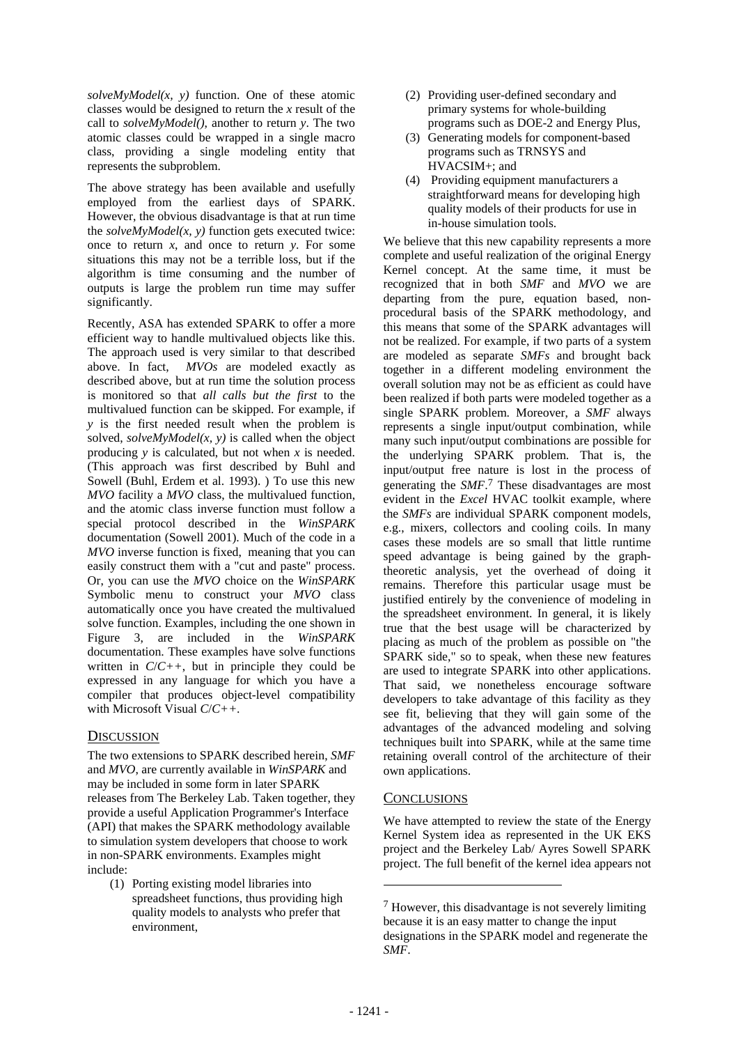*solveMyModel(x, y)* function. One of these atomic classes would be designed to return the *x* result of the call to *solveMyModel()*, another to return *y*. The two atomic classes could be wrapped in a single macro class, providing a single modeling entity that represents the subproblem.

The above strategy has been available and usefully employed from the earliest days of SPARK. However, the obvious disadvantage is that at run time the  $solveMvModel(x, y)$  function gets executed twice: once to return *x*, and once to return *y*. For some situations this may not be a terrible loss, but if the algorithm is time consuming and the number of outputs is large the problem run time may suffer significantly.

Recently, ASA has extended SPARK to offer a more efficient way to handle multivalued objects like this. The approach used is very similar to that described above. In fact, *MVOs* are modeled exactly as described above, but at run time the solution process is monitored so that *all calls but the first* to the multivalued function can be skipped. For example, if *y* is the first needed result when the problem is solved,  $solveMyModel(x, y)$  is called when the object producing *y* is calculated, but not when *x* is needed. (This approach was first described by Buhl and Sowell (Buhl, Erdem et al. 1993). ) To use this new *MVO* facility a *MVO* class, the multivalued function, and the atomic class inverse function must follow a special protocol described in the *WinSPARK* documentation (Sowell 2001). Much of the code in a *MVO* inverse function is fixed, meaning that you can easily construct them with a "cut and paste" process. Or, you can use the *MVO* choice on the *WinSPARK* Symbolic menu to construct your *MVO* class automatically once you have created the multivalued solve function. Examples, including the one shown in Figure 3, are included in the *WinSPARK* documentation. These examples have solve functions written in  $C/C++$ , but in principle they could be expressed in any language for which you have a compiler that produces object-level compatibility with Microsoft Visual *C*/*C++*.

## **DISCUSSION**

The two extensions to SPARK described herein, *SMF* and *MVO*, are currently available in *WinSPARK* and may be included in some form in later SPARK releases from The Berkeley Lab. Taken together, they provide a useful Application Programmer's Interface (API) that makes the SPARK methodology available to simulation system developers that choose to work in non-SPARK environments. Examples might include:

(1) Porting existing model libraries into spreadsheet functions, thus providing high quality models to analysts who prefer that environment,

- (2) Providing user-defined secondary and primary systems for whole-building programs such as DOE-2 and Energy Plus,
- (3) Generating models for component-based programs such as TRNSYS and HVACSIM+; and
- (4) Providing equipment manufacturers a straightforward means for developing high quality models of their products for use in in-house simulation tools.

We believe that this new capability represents a more complete and useful realization of the original Energy Kernel concept. At the same time, it must be recognized that in both *SMF* and *MVO* we are departing from the pure, equation based, nonprocedural basis of the SPARK methodology, and this means that some of the SPARK advantages will not be realized. For example, if two parts of a system are modeled as separate *SMFs* and brought back together in a different modeling environment the overall solution may not be as efficient as could have been realized if both parts were modeled together as a single SPARK problem. Moreover, a *SMF* always represents a single input/output combination, while many such input/output combinations are possible for the underlying SPARK problem. That is, the input/output free nature is lost in the process of generating the *SMF*. 7 These disadvantages are most evident in the *Excel* HVAC toolkit example, where the *SMFs* are individual SPARK component models, e.g., mixers, collectors and cooling coils. In many cases these models are so small that little runtime speed advantage is being gained by the graphtheoretic analysis, yet the overhead of doing it remains. Therefore this particular usage must be justified entirely by the convenience of modeling in the spreadsheet environment. In general, it is likely true that the best usage will be characterized by placing as much of the problem as possible on "the SPARK side," so to speak, when these new features are used to integrate SPARK into other applications. That said, we nonetheless encourage software developers to take advantage of this facility as they see fit, believing that they will gain some of the advantages of the advanced modeling and solving techniques built into SPARK, while at the same time retaining overall control of the architecture of their own applications.

## **CONCLUSIONS**

We have attempted to review the state of the Energy Kernel System idea as represented in the UK EKS project and the Berkeley Lab/ Ayres Sowell SPARK project. The full benefit of the kernel idea appears not

l

 $7$  However, this disadvantage is not severely limiting because it is an easy matter to change the input designations in the SPARK model and regenerate the *SMF*.